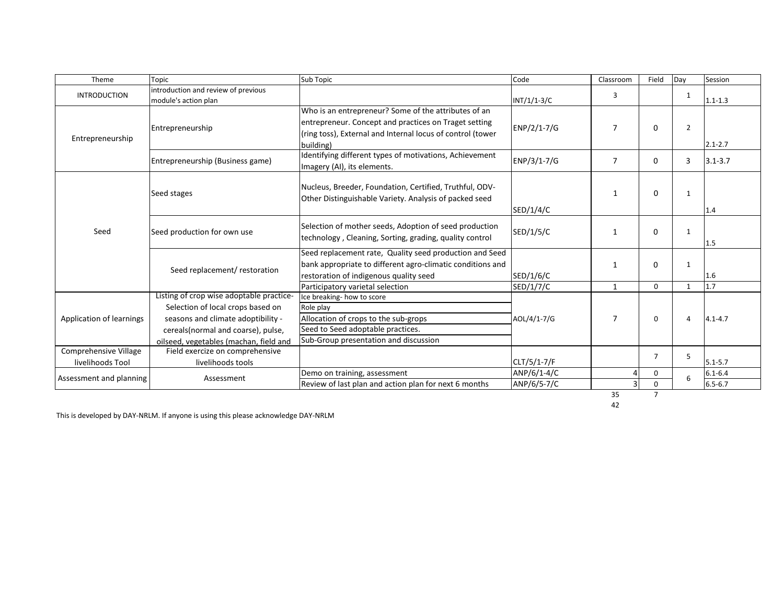| Theme                    | Topic                                    | Sub Topic                                                                              | Code          | Classroom      | Field          | Day          | Session     |
|--------------------------|------------------------------------------|----------------------------------------------------------------------------------------|---------------|----------------|----------------|--------------|-------------|
| <b>INTRODUCTION</b>      | introduction and review of previous      |                                                                                        |               | 3              |                | 1            |             |
|                          | module's action plan                     |                                                                                        | $INT/1/1-3/C$ |                |                |              | $1.1 - 1.3$ |
| Entrepreneurship         | Entrepreneurship                         | Who is an entrepreneur? Some of the attributes of an                                   |               |                |                |              |             |
|                          |                                          | entrepreneur. Concept and practices on Traget setting                                  | ENP/2/1-7/G   | $\overline{7}$ | 0              | 2            |             |
|                          |                                          | (ring toss), External and Internal locus of control (tower                             |               |                |                |              |             |
|                          |                                          | building)                                                                              |               |                |                |              | $2.1 - 2.7$ |
|                          | Entrepreneurship (Business game)         | Identifying different types of motivations, Achievement<br>Imagery (AI), its elements. | ENP/3/1-7/G   | $\overline{7}$ | $\mathbf{0}$   | 3            | $3.1 - 3.7$ |
|                          |                                          |                                                                                        |               |                |                |              |             |
| Seed                     | Seed stages                              | Nucleus, Breeder, Foundation, Certified, Truthful, ODV-                                |               |                |                |              |             |
|                          |                                          | Other Distinguishable Variety. Analysis of packed seed                                 |               | 1              | 0              | 1            |             |
|                          |                                          |                                                                                        | SED/1/4/C     |                |                |              | 1.4         |
|                          | Seed production for own use              |                                                                                        |               |                |                |              |             |
|                          |                                          | Selection of mother seeds, Adoption of seed production                                 | SED/1/5/C     | -1             | 0              | 1            |             |
|                          |                                          | technology, Cleaning, Sorting, grading, quality control                                |               |                |                |              | 1.5         |
|                          | Seed replacement/ restoration            | Seed replacement rate, Quality seed production and Seed                                |               |                |                |              |             |
|                          |                                          | bank appropriate to different agro-climatic conditions and                             |               | $\mathbf{1}$   | 0              | $\mathbf{1}$ |             |
|                          |                                          | restoration of indigenous quality seed                                                 | SED/1/6/C     |                |                |              | 1.6         |
|                          |                                          | Participatory varietal selection                                                       | SED/1/7/C     | $\mathbf{1}$   | $\mathbf 0$    | 1            | 1.7         |
| Application of learnings | Listing of crop wise adoptable practice- | Ice breaking- how to score                                                             |               |                |                |              |             |
|                          | Selection of local crops based on        | Role play                                                                              |               | 7              | 0              | $\Delta$     | $4.1 - 4.7$ |
|                          | seasons and climate adoptibility -       | Allocation of crops to the sub-grops                                                   | AOL/4/1-7/G   |                |                |              |             |
|                          | cereals(normal and coarse), pulse,       | Seed to Seed adoptable practices.                                                      |               |                |                |              |             |
|                          | oilseed, vegetables (machan, field and   | Sub-Group presentation and discussion                                                  |               |                |                |              |             |
| Comprehensive Village    | Field exercize on comprehensive          |                                                                                        |               |                | $\overline{7}$ | 5            |             |
| livelihoods Tool         | livelihoods tools                        |                                                                                        | CLT/5/1-7/F   |                |                |              | $5.1 - 5.7$ |
| Assessment and planning  | Assessment                               | Demo on training, assessment                                                           | ANP/6/1-4/C   |                | 0              |              | $6.1 - 6.4$ |
|                          |                                          | Review of last plan and action plan for next 6 months                                  | ANP/6/5-7/C   | $\Omega$       |                |              | $6.5 - 6.7$ |
|                          |                                          |                                                                                        |               | 35             | $\overline{7}$ |              |             |

This is developed by DAY-NRLM. If anyone is using this please acknowledge DAY-NRLM

42